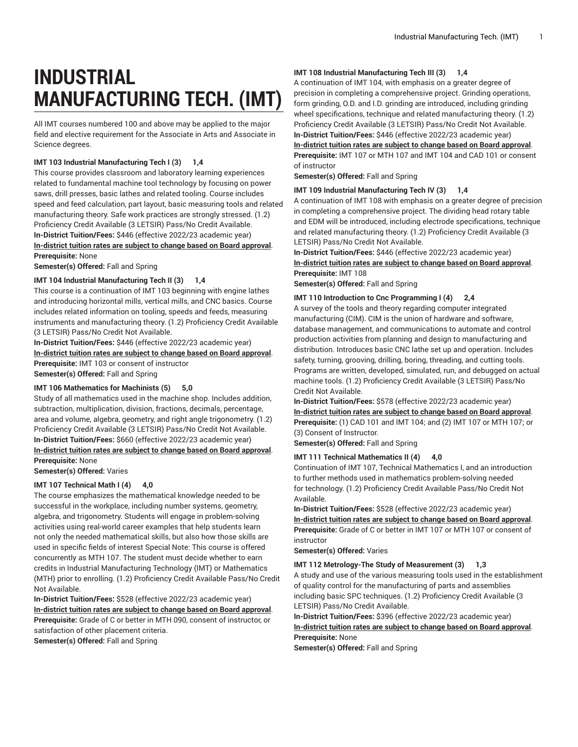# **INDUSTRIAL MANUFACTURING TECH. (IMT)**

All IMT courses numbered 100 and above may be applied to the major field and elective requirement for the Associate in Arts and Associate in Science degrees.

# **IMT 103 Industrial Manufacturing Tech I (3) 1,4**

This course provides classroom and laboratory learning experiences related to fundamental machine tool technology by focusing on power saws, drill presses, basic lathes and related tooling. Course includes speed and feed calculation, part layout, basic measuring tools and related manufacturing theory. Safe work practices are strongly stressed. (1.2) Proficiency Credit Available (3 LETSIR) Pass/No Credit Available. **In-District Tuition/Fees:** \$446 (effective 2022/23 academic year) **[In-district](https://elgin.edu/pay-for-college/tuition-fees/) tuition rates are subject to change based on Board approval**.

**Prerequisite:** None

**Semester(s) Offered:** Fall and Spring

# **IMT 104 Industrial Manufacturing Tech II (3) 1,4**

This course is a continuation of IMT 103 beginning with engine lathes and introducing horizontal mills, vertical mills, and CNC basics. Course includes related information on tooling, speeds and feeds, measuring instruments and manufacturing theory. (1.2) Proficiency Credit Available (3 LETSIR) Pass/No Credit Not Available.

**In-District Tuition/Fees:** \$446 (effective 2022/23 academic year) **[In-district](https://elgin.edu/pay-for-college/tuition-fees/) tuition rates are subject to change based on Board approval**. **Prerequisite:** IMT 103 or consent of instructor **Semester(s) Offered:** Fall and Spring

# **IMT 106 Mathematics for Machinists (5) 5,0**

Study of all mathematics used in the machine shop. Includes addition, subtraction, multiplication, division, fractions, decimals, percentage, area and volume, algebra, geometry, and right angle trigonometry. (1.2) Proficiency Credit Available (3 LETSIR) Pass/No Credit Not Available. **In-District Tuition/Fees:** \$660 (effective 2022/23 academic year) **[In-district](https://elgin.edu/pay-for-college/tuition-fees/) tuition rates are subject to change based on Board approval**. **Prerequisite:** None

**Semester(s) Offered:** Varies

# **IMT 107 Technical Math I (4) 4,0**

The course emphasizes the mathematical knowledge needed to be successful in the workplace, including number systems, geometry, algebra, and trigonometry. Students will engage in problem-solving activities using real-world career examples that help students learn not only the needed mathematical skills, but also how those skills are used in specific fields of interest Special Note: This course is offered concurrently as MTH 107. The student must decide whether to earn credits in Industrial Manufacturing Technology (IMT) or Mathematics (MTH) prior to enrolling. (1.2) Proficiency Credit Available Pass/No Credit Not Available.

**In-District Tuition/Fees:** \$528 (effective 2022/23 academic year) **[In-district](https://elgin.edu/pay-for-college/tuition-fees/) tuition rates are subject to change based on Board approval**. **Prerequisite:** Grade of C or better in MTH 090, consent of instructor, or satisfaction of other placement criteria.

**Semester(s) Offered:** Fall and Spring

# **IMT 108 Industrial Manufacturing Tech III (3) 1,4**

A continuation of IMT 104, with emphasis on a greater degree of precision in completing a comprehensive project. Grinding operations, form grinding, O.D. and I.D. grinding are introduced, including grinding wheel specifications, technique and related manufacturing theory. (1.2) Proficiency Credit Available (3 LETSIR) Pass/No Credit Not Available. **In-District Tuition/Fees:** \$446 (effective 2022/23 academic year)

**[In-district](https://elgin.edu/pay-for-college/tuition-fees/) tuition rates are subject to change based on Board approval**.

**Prerequisite:** IMT 107 or MTH 107 and IMT 104 and CAD 101 or consent of instructor

**Semester(s) Offered:** Fall and Spring

# **IMT 109 Industrial Manufacturing Tech IV (3) 1,4**

A continuation of IMT 108 with emphasis on a greater degree of precision in completing a comprehensive project. The dividing head rotary table and EDM will be introduced, including electrode specifications, technique and related manufacturing theory. (1.2) Proficiency Credit Available (3 LETSIR) Pass/No Credit Not Available.

**In-District Tuition/Fees:** \$446 (effective 2022/23 academic year) **[In-district](https://elgin.edu/pay-for-college/tuition-fees/) tuition rates are subject to change based on Board approval**. **Prerequisite:** IMT 108

**Semester(s) Offered:** Fall and Spring

#### **IMT 110 Introduction to Cnc Programming I (4) 2,4**

A survey of the tools and theory regarding computer integrated manufacturing (CIM). CIM is the union of hardware and software, database management, and communications to automate and control production activities from planning and design to manufacturing and distribution. Introduces basic CNC lathe set up and operation. Includes safety, turning, grooving, drilling, boring, threading, and cutting tools. Programs are written, developed, simulated, run, and debugged on actual machine tools. (1.2) Proficiency Credit Available (3 LETSIR) Pass/No Credit Not Available.

**In-District Tuition/Fees:** \$578 (effective 2022/23 academic year) **[In-district](https://elgin.edu/pay-for-college/tuition-fees/) tuition rates are subject to change based on Board approval**. **Prerequisite:** (1) CAD 101 and IMT 104; and (2) IMT 107 or MTH 107; or (3) Consent of Instructor.

**Semester(s) Offered:** Fall and Spring

# **IMT 111 Technical Mathematics II (4) 4,0**

Continuation of IMT 107, Technical Mathematics I, and an introduction to further methods used in mathematics problem-solving needed for technology. (1.2) Proficiency Credit Available Pass/No Credit Not Available.

**In-District Tuition/Fees:** \$528 (effective 2022/23 academic year) **[In-district](https://elgin.edu/pay-for-college/tuition-fees/) tuition rates are subject to change based on Board approval**. **Prerequisite:** Grade of C or better in IMT 107 or MTH 107 or consent of instructor

**Semester(s) Offered:** Varies

# **IMT 112 Metrology-The Study of Measurement (3) 1,3**

A study and use of the various measuring tools used in the establishment of quality control for the manufacturing of parts and assemblies including basic SPC techniques. (1.2) Proficiency Credit Available (3 LETSIR) Pass/No Credit Available.

**In-District Tuition/Fees:** \$396 (effective 2022/23 academic year) **[In-district](https://elgin.edu/pay-for-college/tuition-fees/) tuition rates are subject to change based on Board approval**. **Prerequisite:** None

**Semester(s) Offered:** Fall and Spring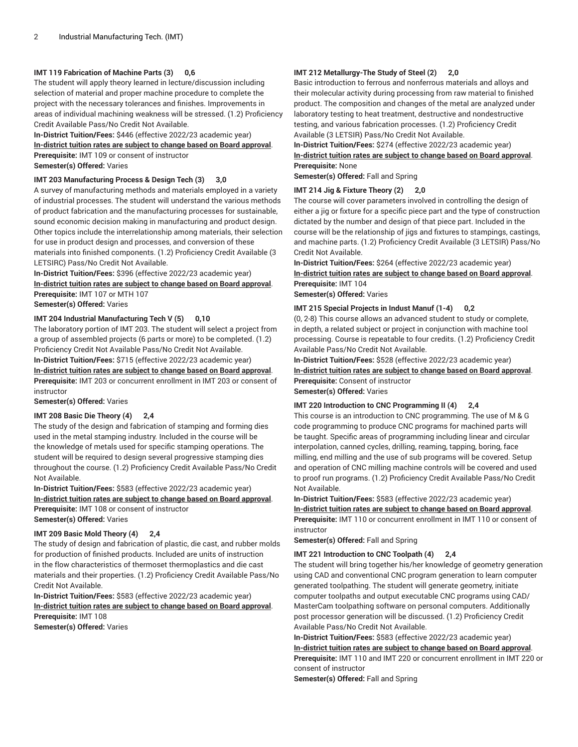# **IMT 119 Fabrication of Machine Parts (3) 0,6**

The student will apply theory learned in lecture/discussion including selection of material and proper machine procedure to complete the project with the necessary tolerances and finishes. Improvements in areas of individual machining weakness will be stressed. (1.2) Proficiency Credit Available Pass/No Credit Not Available.

**In-District Tuition/Fees:** \$446 (effective 2022/23 academic year) **[In-district](https://elgin.edu/pay-for-college/tuition-fees/) tuition rates are subject to change based on Board approval**. **Prerequisite:** IMT 109 or consent of instructor **Semester(s) Offered:** Varies

# **IMT 203 Manufacturing Process & Design Tech (3) 3,0**

A survey of manufacturing methods and materials employed in a variety of industrial processes. The student will understand the various methods of product fabrication and the manufacturing processes for sustainable, sound economic decision making in manufacturing and product design. Other topics include the interrelationship among materials, their selection for use in product design and processes, and conversion of these materials into finished components. (1.2) Proficiency Credit Available (3 LETSIRC) Pass/No Credit Not Available.

**In-District Tuition/Fees:** \$396 (effective 2022/23 academic year) **[In-district](https://elgin.edu/pay-for-college/tuition-fees/) tuition rates are subject to change based on Board approval**. **Prerequisite:** IMT 107 or MTH 107

**Semester(s) Offered:** Varies

# **IMT 204 Industrial Manufacturing Tech V (5) 0,10**

The laboratory portion of IMT 203. The student will select a project from a group of assembled projects (6 parts or more) to be completed. (1.2) Proficiency Credit Not Available Pass/No Credit Not Available. **In-District Tuition/Fees:** \$715 (effective 2022/23 academic year)

**[In-district](https://elgin.edu/pay-for-college/tuition-fees/) tuition rates are subject to change based on Board approval**.

**Prerequisite:** IMT 203 or concurrent enrollment in IMT 203 or consent of instructor

# **Semester(s) Offered:** Varies

# **IMT 208 Basic Die Theory (4) 2,4**

The study of the design and fabrication of stamping and forming dies used in the metal stamping industry. Included in the course will be the knowledge of metals used for specific stamping operations. The student will be required to design several progressive stamping dies throughout the course. (1.2) Proficiency Credit Available Pass/No Credit Not Available.

**In-District Tuition/Fees:** \$583 (effective 2022/23 academic year) **[In-district](https://elgin.edu/pay-for-college/tuition-fees/) tuition rates are subject to change based on Board approval**. **Prerequisite:** IMT 108 or consent of instructor **Semester(s) Offered:** Varies

# **IMT 209 Basic Mold Theory (4) 2,4**

The study of design and fabrication of plastic, die cast, and rubber molds for production of finished products. Included are units of instruction in the flow characteristics of thermoset thermoplastics and die cast materials and their properties. (1.2) Proficiency Credit Available Pass/No Credit Not Available.

**In-District Tuition/Fees:** \$583 (effective 2022/23 academic year) **[In-district](https://elgin.edu/pay-for-college/tuition-fees/) tuition rates are subject to change based on Board approval**. **Prerequisite:** IMT 108

**Semester(s) Offered:** Varies

# **IMT 212 Metallurgy-The Study of Steel (2) 2,0**

Basic introduction to ferrous and nonferrous materials and alloys and their molecular activity during processing from raw material to finished product. The composition and changes of the metal are analyzed under laboratory testing to heat treatment, destructive and nondestructive testing, and various fabrication processes. (1.2) Proficiency Credit Available (3 LETSIR) Pass/No Credit Not Available.

**In-District Tuition/Fees:** \$274 (effective 2022/23 academic year) **[In-district](https://elgin.edu/pay-for-college/tuition-fees/) tuition rates are subject to change based on Board approval**. **Prerequisite:** None

**Semester(s) Offered:** Fall and Spring

# **IMT 214 Jig & Fixture Theory (2) 2,0**

The course will cover parameters involved in controlling the design of either a jig or fixture for a specific piece part and the type of construction dictated by the number and design of that piece part. Included in the course will be the relationship of jigs and fixtures to stampings, castings, and machine parts. (1.2) Proficiency Credit Available (3 LETSIR) Pass/No Credit Not Available.

**In-District Tuition/Fees:** \$264 (effective 2022/23 academic year) **[In-district](https://elgin.edu/pay-for-college/tuition-fees/) tuition rates are subject to change based on Board approval**. **Prerequisite:** IMT 104 **Semester(s) Offered:** Varies

# **IMT 215 Special Projects in Indust Manuf (1-4) 0,2**

(0, 2-8) This course allows an advanced student to study or complete, in depth, a related subject or project in conjunction with machine tool processing. Course is repeatable to four credits. (1.2) Proficiency Credit Available Pass/No Credit Not Available.

**In-District Tuition/Fees:** \$528 (effective 2022/23 academic year) **[In-district](https://elgin.edu/pay-for-college/tuition-fees/) tuition rates are subject to change based on Board approval**. **Prerequisite:** Consent of instructor **Semester(s) Offered:** Varies

# **IMT 220 Introduction to CNC Programming II (4) 2,4**

This course is an introduction to CNC programming. The use of M & G code programming to produce CNC programs for machined parts will be taught. Specific areas of programming including linear and circular interpolation, canned cycles, drilling, reaming, tapping, boring, face milling, end milling and the use of sub programs will be covered. Setup and operation of CNC milling machine controls will be covered and used to proof run programs. (1.2) Proficiency Credit Available Pass/No Credit Not Available.

**In-District Tuition/Fees:** \$583 (effective 2022/23 academic year) **[In-district](https://elgin.edu/pay-for-college/tuition-fees/) tuition rates are subject to change based on Board approval**. **Prerequisite:** IMT 110 or concurrent enrollment in IMT 110 or consent of instructor

**Semester(s) Offered:** Fall and Spring

# **IMT 221 Introduction to CNC Toolpath (4) 2,4**

The student will bring together his/her knowledge of geometry generation using CAD and conventional CNC program generation to learn computer generated toolpathing. The student will generate geometry, initiate computer toolpaths and output executable CNC programs using CAD/ MasterCam toolpathing software on personal computers. Additionally post processor generation will be discussed. (1.2) Proficiency Credit Available Pass/No Credit Not Available.

**In-District Tuition/Fees:** \$583 (effective 2022/23 academic year) **[In-district](https://elgin.edu/pay-for-college/tuition-fees/) tuition rates are subject to change based on Board approval**. **Prerequisite:** IMT 110 and IMT 220 or concurrent enrollment in IMT 220 or consent of instructor

**Semester(s) Offered:** Fall and Spring